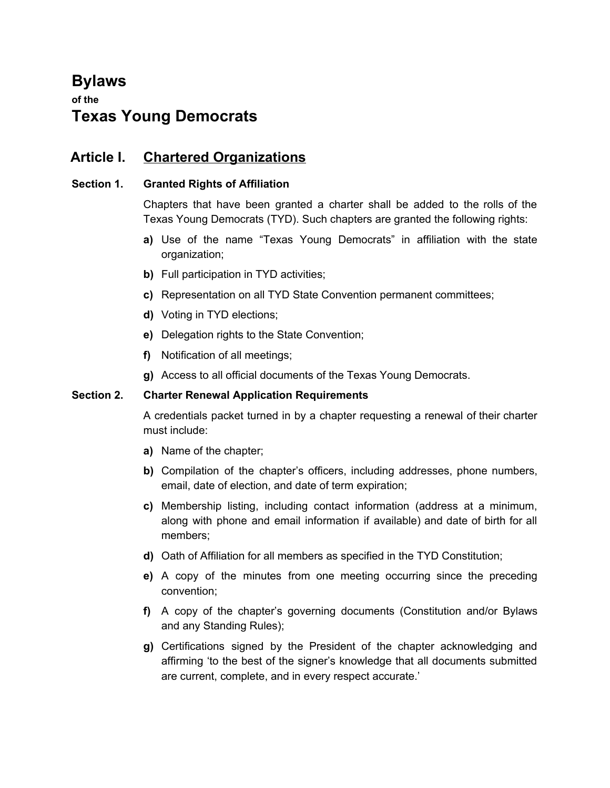# **Bylaws**

# **of the Texas Young Democrats**

# **Article I. Chartered Organizations**

# **Section 1. Granted Rights of Affiliation**

Chapters that have been granted a charter shall be added to the rolls of the Texas Young Democrats (TYD). Such chapters are granted the following rights:

- **a)** Use of the name "Texas Young Democrats" in affiliation with the state organization;
- **b)** Full participation in TYD activities;
- **c)** Representation on all TYD State Convention permanent committees;
- **d)** Voting in TYD elections;
- **e)** Delegation rights to the State Convention;
- **f)** Notification of all meetings;
- **g)** Access to all official documents of the Texas Young Democrats.

# **Section 2. Charter Renewal Application Requirements**

A credentials packet turned in by a chapter requesting a renewal of their charter must include:

- **a)** Name of the chapter;
- **b)** Compilation of the chapter's officers, including addresses, phone numbers, email, date of election, and date of term expiration;
- **c)** Membership listing, including contact information (address at a minimum, along with phone and email information if available) and date of birth for all members;
- **d)** Oath of Affiliation for all members as specified in the TYD Constitution;
- **e)** A copy of the minutes from one meeting occurring since the preceding convention;
- **f)** A copy of the chapter's governing documents (Constitution and/or Bylaws and any Standing Rules);
- **g)** Certifications signed by the President of the chapter acknowledging and affirming 'to the best of the signer's knowledge that all documents submitted are current, complete, and in every respect accurate.'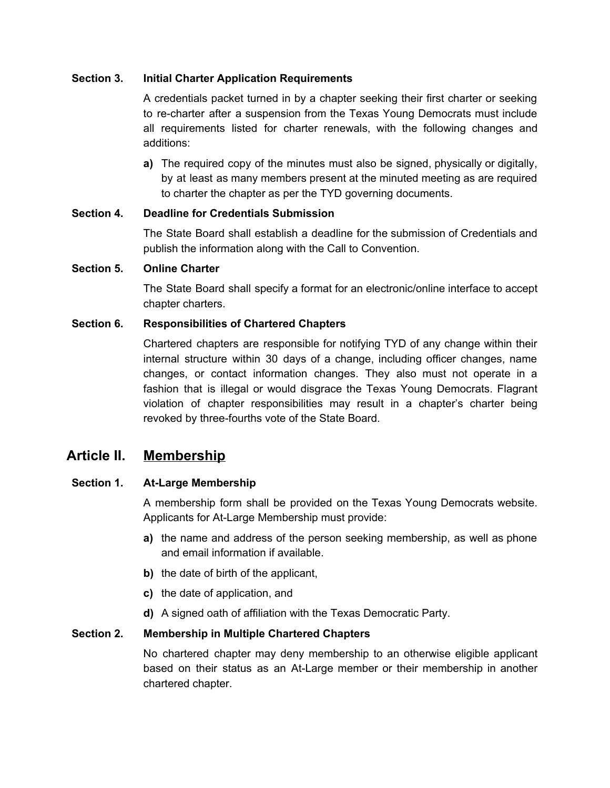# **Section 3. Initial Charter Application Requirements**

A credentials packet turned in by a chapter seeking their first charter or seeking to re-charter after a suspension from the Texas Young Democrats must include all requirements listed for charter renewals, with the following changes and additions:

**a)** The required copy of the minutes must also be signed, physically or digitally, by at least as many members present at the minuted meeting as are required to charter the chapter as per the TYD governing documents.

# **Section 4. Deadline for Credentials Submission**

The State Board shall establish a deadline for the submission of Credentials and publish the information along with the Call to Convention.

### **Section 5. Online Charter**

The State Board shall specify a format for an electronic/online interface to accept chapter charters.

# **Section 6. Responsibilities of Chartered Chapters**

Chartered chapters are responsible for notifying TYD of any change within their internal structure within 30 days of a change, including officer changes, name changes, or contact information changes. They also must not operate in a fashion that is illegal or would disgrace the Texas Young Democrats. Flagrant violation of chapter responsibilities may result in a chapter's charter being revoked by three-fourths vote of the State Board.

# **Article II. Membership**

# **Section 1. At-Large Membership**

A membership form shall be provided on the Texas Young Democrats website. Applicants for At-Large Membership must provide:

- **a)** the name and address of the person seeking membership, as well as phone and email information if available.
- **b)** the date of birth of the applicant,
- **c)** the date of application, and
- **d)** A signed oath of affiliation with the Texas Democratic Party.

### **Section 2. Membership in Multiple Chartered Chapters**

No chartered chapter may deny membership to an otherwise eligible applicant based on their status as an At-Large member or their membership in another chartered chapter.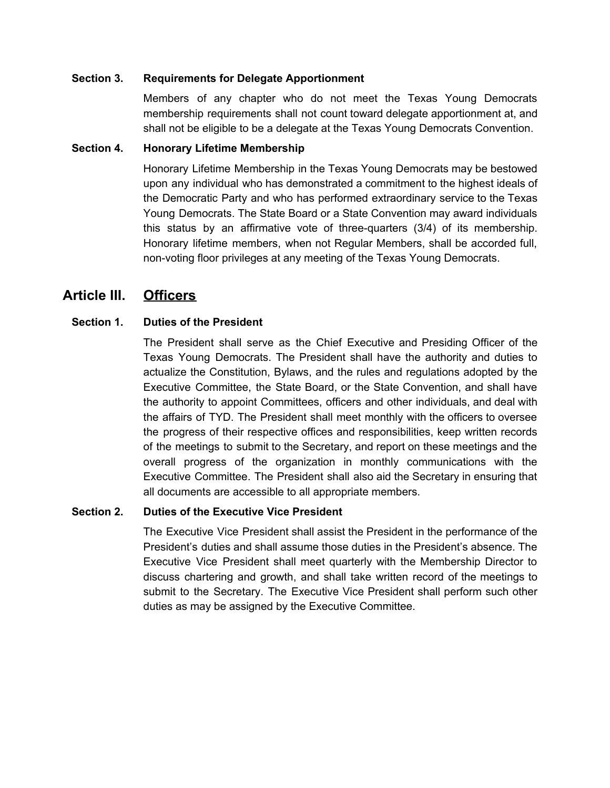#### **Section 3. Requirements for Delegate Apportionment**

Members of any chapter who do not meet the Texas Young Democrats membership requirements shall not count toward delegate apportionment at, and shall not be eligible to be a delegate at the Texas Young Democrats Convention.

#### **Section 4. Honorary Lifetime Membership**

Honorary Lifetime Membership in the Texas Young Democrats may be bestowed upon any individual who has demonstrated a commitment to the highest ideals of the Democratic Party and who has performed extraordinary service to the Texas Young Democrats. The State Board or a State Convention may award individuals this status by an affirmative vote of three-quarters (3/4) of its membership. Honorary lifetime members, when not Regular Members, shall be accorded full, non-voting floor privileges at any meeting of the Texas Young Democrats.

# **Article III. Officers**

# **Section 1. Duties of the President**

The President shall serve as the Chief Executive and Presiding Officer of the Texas Young Democrats. The President shall have the authority and duties to actualize the Constitution, Bylaws, and the rules and regulations adopted by the Executive Committee, the State Board, or the State Convention, and shall have the authority to appoint Committees, officers and other individuals, and deal with the affairs of TYD. The President shall meet monthly with the officers to oversee the progress of their respective offices and responsibilities, keep written records of the meetings to submit to the Secretary, and report on these meetings and the overall progress of the organization in monthly communications with the Executive Committee. The President shall also aid the Secretary in ensuring that all documents are accessible to all appropriate members.

### **Section 2. Duties of the Executive Vice President**

The Executive Vice President shall assist the President in the performance of the President's duties and shall assume those duties in the President's absence. The Executive Vice President shall meet quarterly with the Membership Director to discuss chartering and growth, and shall take written record of the meetings to submit to the Secretary. The Executive Vice President shall perform such other duties as may be assigned by the Executive Committee.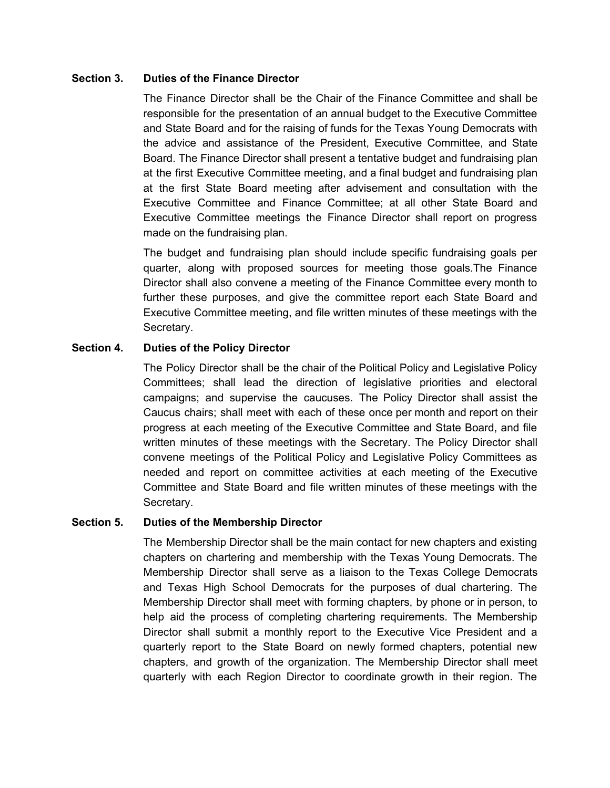#### **Section 3. Duties of the Finance Director**

The Finance Director shall be the Chair of the Finance Committee and shall be responsible for the presentation of an annual budget to the Executive Committee and State Board and for the raising of funds for the Texas Young Democrats with the advice and assistance of the President, Executive Committee, and State Board. The Finance Director shall present a tentative budget and fundraising plan at the first Executive Committee meeting, and a final budget and fundraising plan at the first State Board meeting after advisement and consultation with the Executive Committee and Finance Committee; at all other State Board and Executive Committee meetings the Finance Director shall report on progress made on the fundraising plan.

The budget and fundraising plan should include specific fundraising goals per quarter, along with proposed sources for meeting those goals.The Finance Director shall also convene a meeting of the Finance Committee every month to further these purposes, and give the committee report each State Board and Executive Committee meeting, and file written minutes of these meetings with the Secretary.

### **Section 4. Duties of the Policy Director**

The Policy Director shall be the chair of the Political Policy and Legislative Policy Committees; shall lead the direction of legislative priorities and electoral campaigns; and supervise the caucuses. The Policy Director shall assist the Caucus chairs; shall meet with each of these once per month and report on their progress at each meeting of the Executive Committee and State Board, and file written minutes of these meetings with the Secretary. The Policy Director shall convene meetings of the Political Policy and Legislative Policy Committees as needed and report on committee activities at each meeting of the Executive Committee and State Board and file written minutes of these meetings with the Secretary.

### **Section 5. Duties of the Membership Director**

The Membership Director shall be the main contact for new chapters and existing chapters on chartering and membership with the Texas Young Democrats. The Membership Director shall serve as a liaison to the Texas College Democrats and Texas High School Democrats for the purposes of dual chartering. The Membership Director shall meet with forming chapters, by phone or in person, to help aid the process of completing chartering requirements. The Membership Director shall submit a monthly report to the Executive Vice President and a quarterly report to the State Board on newly formed chapters, potential new chapters, and growth of the organization. The Membership Director shall meet quarterly with each Region Director to coordinate growth in their region. The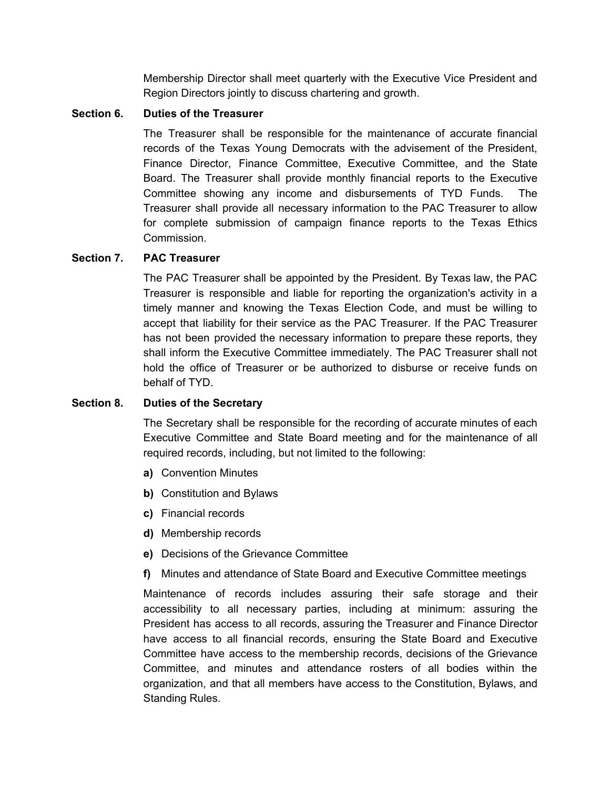Membership Director shall meet quarterly with the Executive Vice President and Region Directors jointly to discuss chartering and growth.

## **Section 6. Duties of the Treasurer**

The Treasurer shall be responsible for the maintenance of accurate financial records of the Texas Young Democrats with the advisement of the President, Finance Director, Finance Committee, Executive Committee, and the State Board. The Treasurer shall provide monthly financial reports to the Executive Committee showing any income and disbursements of TYD Funds. The Treasurer shall provide all necessary information to the PAC Treasurer to allow for complete submission of campaign finance reports to the Texas Ethics Commission.

# **Section 7. PAC Treasurer**

The PAC Treasurer shall be appointed by the President. By Texas law, the PAC Treasurer is responsible and liable for reporting the organization's activity in a timely manner and knowing the Texas Election Code, and must be willing to accept that liability for their service as the PAC Treasurer. If the PAC Treasurer has not been provided the necessary information to prepare these reports, they shall inform the Executive Committee immediately. The PAC Treasurer shall not hold the office of Treasurer or be authorized to disburse or receive funds on behalf of TYD.

# **Section 8. Duties of the Secretary**

The Secretary shall be responsible for the recording of accurate minutes of each Executive Committee and State Board meeting and for the maintenance of all required records, including, but not limited to the following:

- **a)** Convention Minutes
- **b)** Constitution and Bylaws
- **c)** Financial records
- **d)** Membership records
- **e)** Decisions of the Grievance Committee
- **f)** Minutes and attendance of State Board and Executive Committee meetings

Maintenance of records includes assuring their safe storage and their accessibility to all necessary parties, including at minimum: assuring the President has access to all records, assuring the Treasurer and Finance Director have access to all financial records, ensuring the State Board and Executive Committee have access to the membership records, decisions of the Grievance Committee, and minutes and attendance rosters of all bodies within the organization, and that all members have access to the Constitution, Bylaws, and Standing Rules.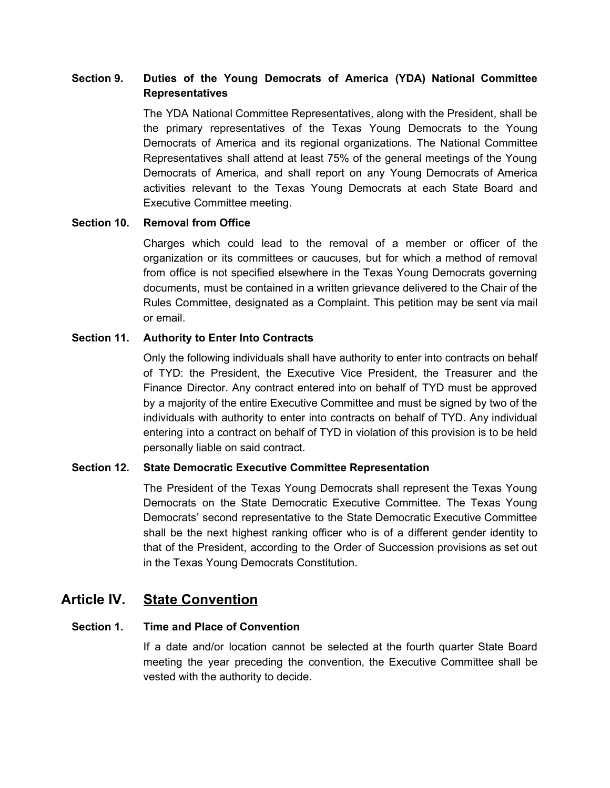# **Section 9. Duties of the Young Democrats of America (YDA) National Committee Representatives**

The YDA National Committee Representatives, along with the President, shall be the primary representatives of the Texas Young Democrats to the Young Democrats of America and its regional organizations. The National Committee Representatives shall attend at least 75% of the general meetings of the Young Democrats of America, and shall report on any Young Democrats of America activities relevant to the Texas Young Democrats at each State Board and Executive Committee meeting.

# **Section 10. Removal from Office**

Charges which could lead to the removal of a member or officer of the organization or its committees or caucuses, but for which a method of removal from office is not specified elsewhere in the Texas Young Democrats governing documents, must be contained in a written grievance delivered to the Chair of the Rules Committee, designated as a Complaint. This petition may be sent via mail or email.

### **Section 11. Authority to Enter Into Contracts**

Only the following individuals shall have authority to enter into contracts on behalf of TYD: the President, the Executive Vice President, the Treasurer and the Finance Director. Any contract entered into on behalf of TYD must be approved by a majority of the entire Executive Committee and must be signed by two of the individuals with authority to enter into contracts on behalf of TYD. Any individual entering into a contract on behalf of TYD in violation of this provision is to be held personally liable on said contract.

### **Section 12. State Democratic Executive Committee Representation**

The President of the Texas Young Democrats shall represent the Texas Young Democrats on the State Democratic Executive Committee. The Texas Young Democrats' second representative to the State Democratic Executive Committee shall be the next highest ranking officer who is of a different gender identity to that of the President, according to the Order of Succession provisions as set out in the Texas Young Democrats Constitution.

# **Article IV. State Convention**

# **Section 1. Time and Place of Convention**

If a date and/or location cannot be selected at the fourth quarter State Board meeting the year preceding the convention, the Executive Committee shall be vested with the authority to decide.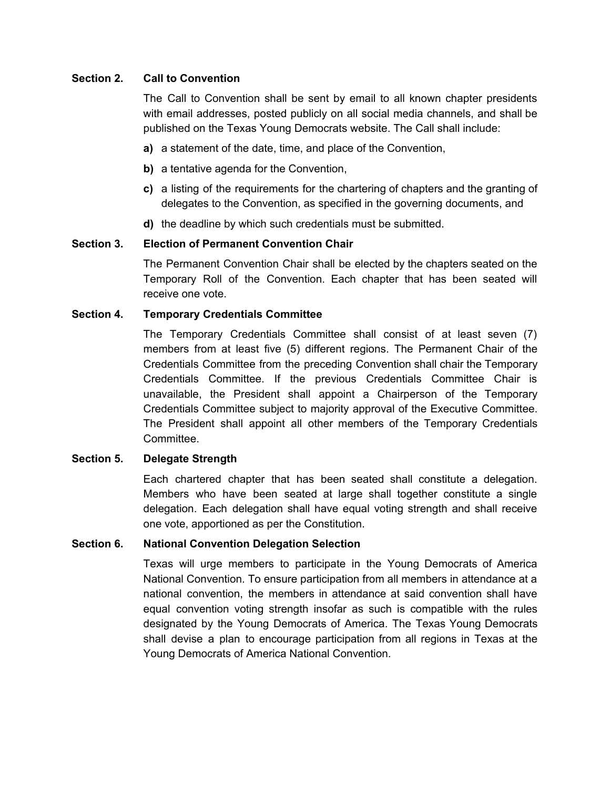# **Section 2. Call to Convention**

The Call to Convention shall be sent by email to all known chapter presidents with email addresses, posted publicly on all social media channels, and shall be published on the Texas Young Democrats website. The Call shall include:

- **a)** a statement of the date, time, and place of the Convention,
- **b)** a tentative agenda for the Convention,
- **c)** a listing of the requirements for the chartering of chapters and the granting of delegates to the Convention, as specified in the governing documents, and
- **d)** the deadline by which such credentials must be submitted.

# **Section 3. Election of Permanent Convention Chair**

The Permanent Convention Chair shall be elected by the chapters seated on the Temporary Roll of the Convention. Each chapter that has been seated will receive one vote.

# **Section 4. Temporary Credentials Committee**

The Temporary Credentials Committee shall consist of at least seven (7) members from at least five (5) different regions. The Permanent Chair of the Credentials Committee from the preceding Convention shall chair the Temporary Credentials Committee. If the previous Credentials Committee Chair is unavailable, the President shall appoint a Chairperson of the Temporary Credentials Committee subject to majority approval of the Executive Committee. The President shall appoint all other members of the Temporary Credentials Committee.

### **Section 5. Delegate Strength**

Each chartered chapter that has been seated shall constitute a delegation. Members who have been seated at large shall together constitute a single delegation. Each delegation shall have equal voting strength and shall receive one vote, apportioned as per the Constitution.

### **Section 6. National Convention Delegation Selection**

Texas will urge members to participate in the Young Democrats of America National Convention. To ensure participation from all members in attendance at a national convention, the members in attendance at said convention shall have equal convention voting strength insofar as such is compatible with the rules designated by the Young Democrats of America. The Texas Young Democrats shall devise a plan to encourage participation from all regions in Texas at the Young Democrats of America National Convention.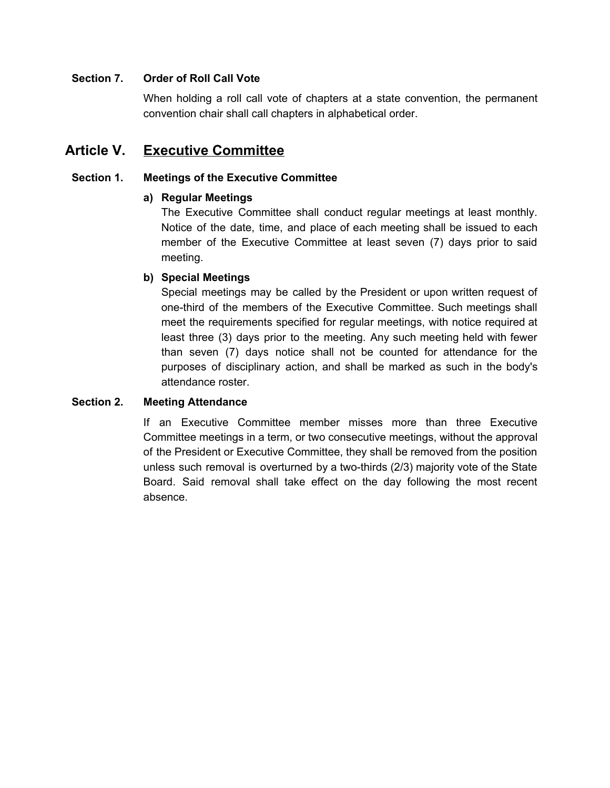# **Section 7. Order of Roll Call Vote**

When holding a roll call vote of chapters at a state convention, the permanent convention chair shall call chapters in alphabetical order.

# **Article V. Executive Committee**

# **Section 1. Meetings of the Executive Committee**

# **a) Regular Meetings**

The Executive Committee shall conduct regular meetings at least monthly. Notice of the date, time, and place of each meeting shall be issued to each member of the Executive Committee at least seven (7) days prior to said meeting.

# **b) Special Meetings**

Special meetings may be called by the President or upon written request of one-third of the members of the Executive Committee. Such meetings shall meet the requirements specified for regular meetings, with notice required at least three (3) days prior to the meeting. Any such meeting held with fewer than seven (7) days notice shall not be counted for attendance for the purposes of disciplinary action, and shall be marked as such in the body's attendance roster.

### **Section 2. Meeting Attendance**

If an Executive Committee member misses more than three Executive Committee meetings in a term, or two consecutive meetings, without the approval of the President or Executive Committee, they shall be removed from the position unless such removal is overturned by a two-thirds (2/3) majority vote of the State Board. Said removal shall take effect on the day following the most recent absence.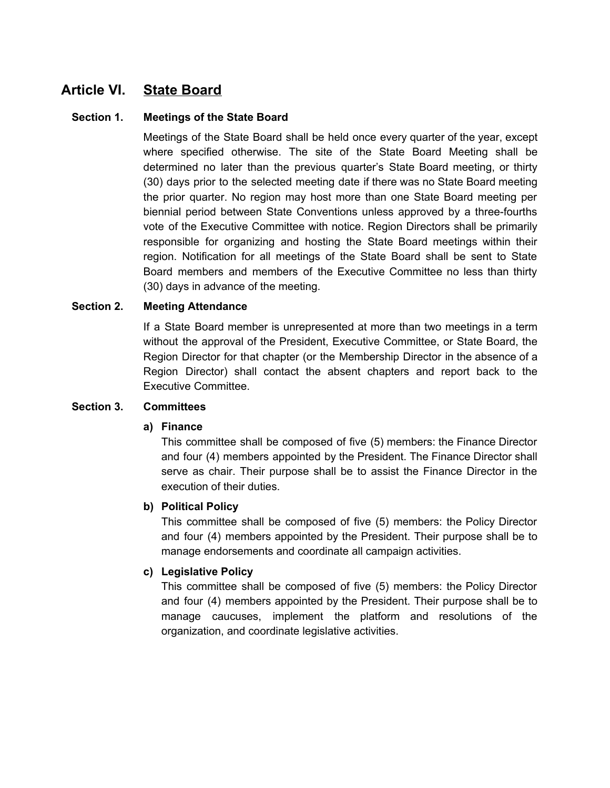# **Article VI. State Board**

## **Section 1. Meetings of the State Board**

Meetings of the State Board shall be held once every quarter of the year, except where specified otherwise. The site of the State Board Meeting shall be determined no later than the previous quarter's State Board meeting, or thirty (30) days prior to the selected meeting date if there was no State Board meeting the prior quarter. No region may host more than one State Board meeting per biennial period between State Conventions unless approved by a three-fourths vote of the Executive Committee with notice. Region Directors shall be primarily responsible for organizing and hosting the State Board meetings within their region. Notification for all meetings of the State Board shall be sent to State Board members and members of the Executive Committee no less than thirty (30) days in advance of the meeting.

# **Section 2. Meeting Attendance**

If a State Board member is unrepresented at more than two meetings in a term without the approval of the President, Executive Committee, or State Board, the Region Director for that chapter (or the Membership Director in the absence of a Region Director) shall contact the absent chapters and report back to the Executive Committee.

### **Section 3. Committees**

### **a) Finance**

This committee shall be composed of five (5) members: the Finance Director and four (4) members appointed by the President. The Finance Director shall serve as chair. Their purpose shall be to assist the Finance Director in the execution of their duties.

### **b) Political Policy**

This committee shall be composed of five (5) members: the Policy Director and four (4) members appointed by the President. Their purpose shall be to manage endorsements and coordinate all campaign activities.

### **c) Legislative Policy**

This committee shall be composed of five (5) members: the Policy Director and four (4) members appointed by the President. Their purpose shall be to manage caucuses, implement the platform and resolutions of the organization, and coordinate legislative activities.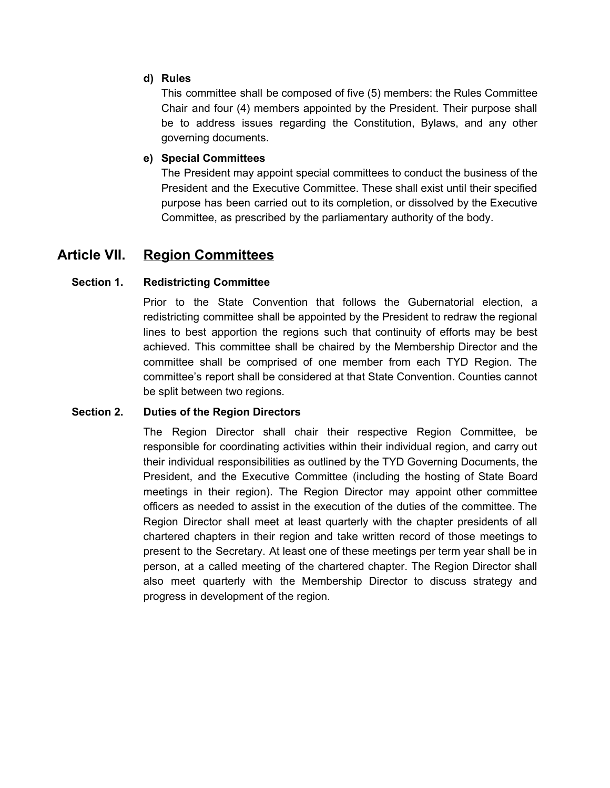# **d) Rules**

This committee shall be composed of five (5) members: the Rules Committee Chair and four (4) members appointed by the President. Their purpose shall be to address issues regarding the Constitution, Bylaws, and any other governing documents.

# **e) Special Committees**

The President may appoint special committees to conduct the business of the President and the Executive Committee. These shall exist until their specified purpose has been carried out to its completion, or dissolved by the Executive Committee, as prescribed by the parliamentary authority of the body.

# **Article VII. Region Committees**

# **Section 1. Redistricting Committee**

Prior to the State Convention that follows the Gubernatorial election, a redistricting committee shall be appointed by the President to redraw the regional lines to best apportion the regions such that continuity of efforts may be best achieved. This committee shall be chaired by the Membership Director and the committee shall be comprised of one member from each TYD Region. The committee's report shall be considered at that State Convention. Counties cannot be split between two regions.

### **Section 2. Duties of the Region Directors**

The Region Director shall chair their respective Region Committee, be responsible for coordinating activities within their individual region, and carry out their individual responsibilities as outlined by the TYD Governing Documents, the President, and the Executive Committee (including the hosting of State Board meetings in their region). The Region Director may appoint other committee officers as needed to assist in the execution of the duties of the committee. The Region Director shall meet at least quarterly with the chapter presidents of all chartered chapters in their region and take written record of those meetings to present to the Secretary. At least one of these meetings per term year shall be in person, at a called meeting of the chartered chapter. The Region Director shall also meet quarterly with the Membership Director to discuss strategy and progress in development of the region.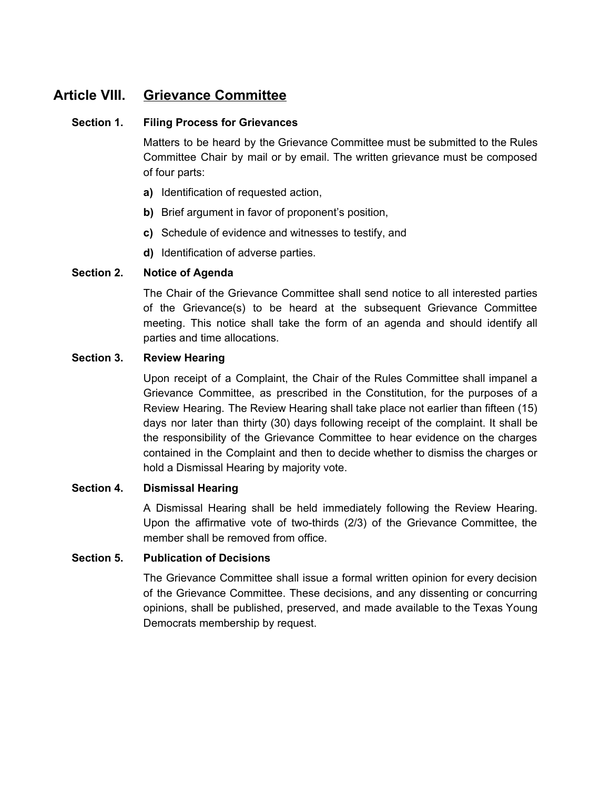# **Article VIII. Grievance Committee**

# **Section 1. Filing Process for Grievances**

Matters to be heard by the Grievance Committee must be submitted to the Rules Committee Chair by mail or by email. The written grievance must be composed of four parts:

- **a)** Identification of requested action,
- **b)** Brief argument in favor of proponent's position,
- **c)** Schedule of evidence and witnesses to testify, and
- **d)** Identification of adverse parties.

# **Section 2. Notice of Agenda**

The Chair of the Grievance Committee shall send notice to all interested parties of the Grievance(s) to be heard at the subsequent Grievance Committee meeting. This notice shall take the form of an agenda and should identify all parties and time allocations.

### **Section 3. Review Hearing**

Upon receipt of a Complaint, the Chair of the Rules Committee shall impanel a Grievance Committee, as prescribed in the Constitution, for the purposes of a Review Hearing. The Review Hearing shall take place not earlier than fifteen (15) days nor later than thirty (30) days following receipt of the complaint. It shall be the responsibility of the Grievance Committee to hear evidence on the charges contained in the Complaint and then to decide whether to dismiss the charges or hold a Dismissal Hearing by majority vote.

### **Section 4. Dismissal Hearing**

A Dismissal Hearing shall be held immediately following the Review Hearing. Upon the affirmative vote of two-thirds (2/3) of the Grievance Committee, the member shall be removed from office.

# **Section 5. Publication of Decisions**

The Grievance Committee shall issue a formal written opinion for every decision of the Grievance Committee. These decisions, and any dissenting or concurring opinions, shall be published, preserved, and made available to the Texas Young Democrats membership by request.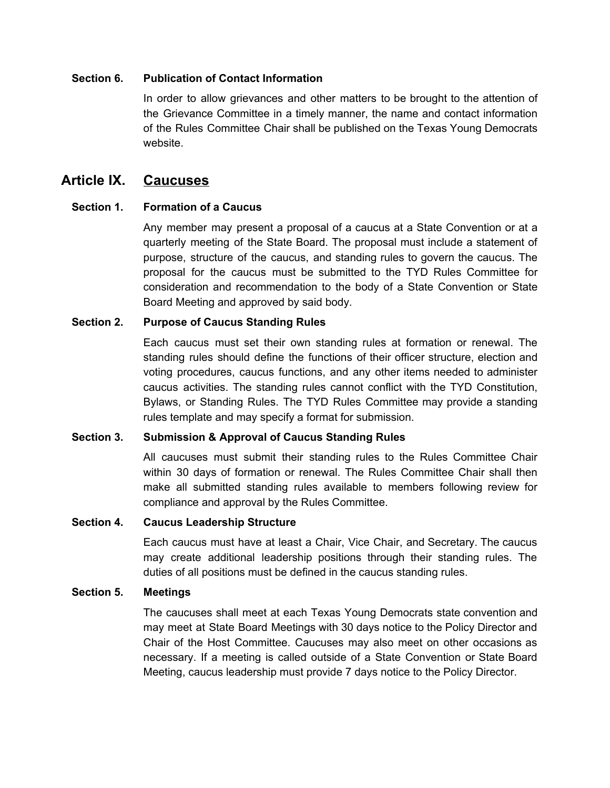### **Section 6. Publication of Contact Information**

In order to allow grievances and other matters to be brought to the attention of the Grievance Committee in a timely manner, the name and contact information of the Rules Committee Chair shall be published on the Texas Young Democrats website.

# **Article IX. Caucuses**

# **Section 1. Formation of a Caucus**

Any member may present a proposal of a caucus at a State Convention or at a quarterly meeting of the State Board. The proposal must include a statement of purpose, structure of the caucus, and standing rules to govern the caucus. The proposal for the caucus must be submitted to the TYD Rules Committee for consideration and recommendation to the body of a State Convention or State Board Meeting and approved by said body.

# **Section 2. Purpose of Caucus Standing Rules**

Each caucus must set their own standing rules at formation or renewal. The standing rules should define the functions of their officer structure, election and voting procedures, caucus functions, and any other items needed to administer caucus activities. The standing rules cannot conflict with the TYD Constitution, Bylaws, or Standing Rules. The TYD Rules Committee may provide a standing rules template and may specify a format for submission.

### **Section 3. Submission & Approval of Caucus Standing Rules**

All caucuses must submit their standing rules to the Rules Committee Chair within 30 days of formation or renewal. The Rules Committee Chair shall then make all submitted standing rules available to members following review for compliance and approval by the Rules Committee.

### **Section 4. Caucus Leadership Structure**

Each caucus must have at least a Chair, Vice Chair, and Secretary. The caucus may create additional leadership positions through their standing rules. The duties of all positions must be defined in the caucus standing rules.

### **Section 5. Meetings**

The caucuses shall meet at each Texas Young Democrats state convention and may meet at State Board Meetings with 30 days notice to the Policy Director and Chair of the Host Committee. Caucuses may also meet on other occasions as necessary. If a meeting is called outside of a State Convention or State Board Meeting, caucus leadership must provide 7 days notice to the Policy Director.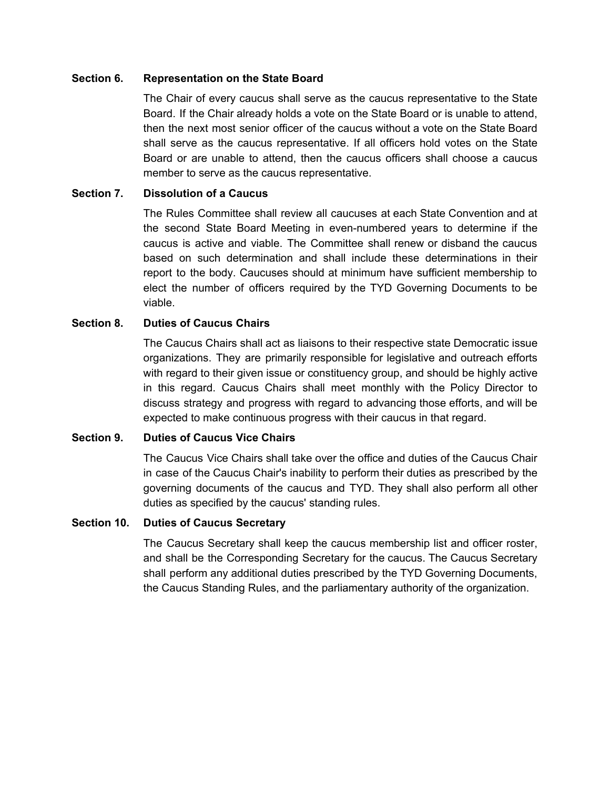#### **Section 6. Representation on the State Board**

The Chair of every caucus shall serve as the caucus representative to the State Board. If the Chair already holds a vote on the State Board or is unable to attend, then the next most senior officer of the caucus without a vote on the State Board shall serve as the caucus representative. If all officers hold votes on the State Board or are unable to attend, then the caucus officers shall choose a caucus member to serve as the caucus representative.

# **Section 7. Dissolution of a Caucus**

The Rules Committee shall review all caucuses at each State Convention and at the second State Board Meeting in even-numbered years to determine if the caucus is active and viable. The Committee shall renew or disband the caucus based on such determination and shall include these determinations in their report to the body. Caucuses should at minimum have sufficient membership to elect the number of officers required by the TYD Governing Documents to be viable.

# **Section 8. Duties of Caucus Chairs**

The Caucus Chairs shall act as liaisons to their respective state Democratic issue organizations. They are primarily responsible for legislative and outreach efforts with regard to their given issue or constituency group, and should be highly active in this regard. Caucus Chairs shall meet monthly with the Policy Director to discuss strategy and progress with regard to advancing those efforts, and will be expected to make continuous progress with their caucus in that regard.

### **Section 9. Duties of Caucus Vice Chairs**

The Caucus Vice Chairs shall take over the office and duties of the Caucus Chair in case of the Caucus Chair's inability to perform their duties as prescribed by the governing documents of the caucus and TYD. They shall also perform all other duties as specified by the caucus' standing rules.

### **Section 10. Duties of Caucus Secretary**

The Caucus Secretary shall keep the caucus membership list and officer roster, and shall be the Corresponding Secretary for the caucus. The Caucus Secretary shall perform any additional duties prescribed by the TYD Governing Documents, the Caucus Standing Rules, and the parliamentary authority of the organization.